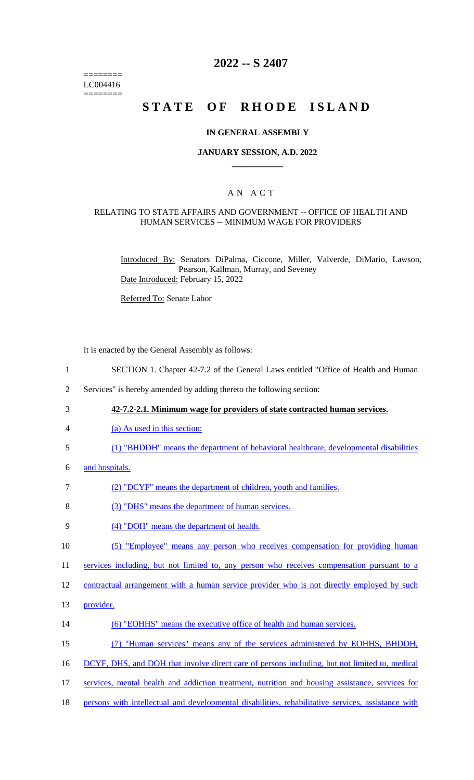======== LC004416 ========

# **2022 -- S 2407**

# **STATE OF RHODE ISLAND**

### **IN GENERAL ASSEMBLY**

### **JANUARY SESSION, A.D. 2022 \_\_\_\_\_\_\_\_\_\_\_\_**

### A N A C T

### RELATING TO STATE AFFAIRS AND GOVERNMENT -- OFFICE OF HEALTH AND HUMAN SERVICES -- MINIMUM WAGE FOR PROVIDERS

Introduced By: Senators DiPalma, Ciccone, Miller, Valverde, DiMario, Lawson, Pearson, Kallman, Murray, and Seveney Date Introduced: February 15, 2022

Referred To: Senate Labor

It is enacted by the General Assembly as follows:

- 1 SECTION 1. Chapter 42-7.2 of the General Laws entitled "Office of Health and Human
- 2 Services" is hereby amended by adding thereto the following section:
- 3 **42-7.2-2.1. Minimum wage for providers of state contracted human services.**
- 4 (a) As used in this section:
- 5 (1) "BHDDH" means the department of behavioral healthcare, developmental disabilities
- 6 and hospitals.
- 7 (2) "DCYF" means the department of children, youth and families.
- 8 (3) "DHS" means the department of human services.
- 9 (4) "DOH" means the department of health.
- 10 (5) "Employee" means any person who receives compensation for providing human

11 services including, but not limited to, any person who receives compensation pursuant to a

12 contractual arrangement with a human service provider who is not directly employed by such

- 13 **provider**.
- 14 (6) "EOHHS" means the executive office of health and human services.
- 15 (7) "Human services" means any of the services administered by EOHHS, BHDDH,
- 16 DCYF, DHS, and DOH that involve direct care of persons including, but not limited to, medical
- 17 services, mental health and addiction treatment, nutrition and housing assistance, services for
- 18 persons with intellectual and developmental disabilities, rehabilitative services, assistance with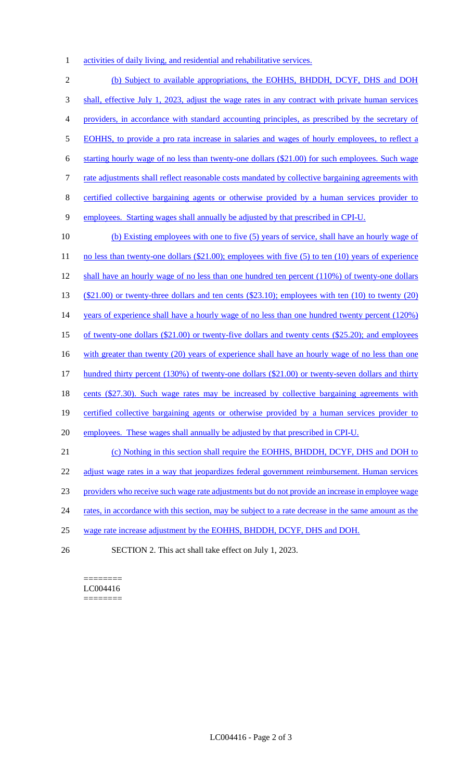activities of daily living, and residential and rehabilitative services.

 (b) Subject to available appropriations, the EOHHS, BHDDH, DCYF, DHS and DOH shall, effective July 1, 2023, adjust the wage rates in any contract with private human services providers, in accordance with standard accounting principles, as prescribed by the secretary of EOHHS, to provide a pro rata increase in salaries and wages of hourly employees, to reflect a starting hourly wage of no less than twenty-one dollars (\$21.00) for such employees. Such wage 7 rate adjustments shall reflect reasonable costs mandated by collective bargaining agreements with certified collective bargaining agents or otherwise provided by a human services provider to employees. Starting wages shall annually be adjusted by that prescribed in CPI-U. (b) Existing employees with one to five (5) years of service, shall have an hourly wage of 11 no less than twenty-one dollars (\$21.00); employees with five (5) to ten (10) years of experience shall have an hourly wage of no less than one hundred ten percent (110%) of twenty-one dollars (\$21.00) or twenty-three dollars and ten cents (\$23.10); employees with ten (10) to twenty (20) 14 years of experience shall have a hourly wage of no less than one hundred twenty percent (120%) of twenty-one dollars (\$21.00) or twenty-five dollars and twenty cents (\$25.20); and employees 16 with greater than twenty (20) years of experience shall have an hourly wage of no less than one hundred thirty percent (130%) of twenty-one dollars (\$21.00) or twenty-seven dollars and thirty 18 cents (\$27.30). Such wage rates may be increased by collective bargaining agreements with certified collective bargaining agents or otherwise provided by a human services provider to employees. These wages shall annually be adjusted by that prescribed in CPI-U. (c) Nothing in this section shall require the EOHHS, BHDDH, DCYF, DHS and DOH to 22 adjust wage rates in a way that jeopardizes federal government reimbursement. Human services providers who receive such wage rate adjustments but do not provide an increase in employee wage 24 rates, in accordance with this section, may be subject to a rate decrease in the same amount as the wage rate increase adjustment by the EOHHS, BHDDH, DCYF, DHS and DOH.

SECTION 2. This act shall take effect on July 1, 2023.

#### ======== LC004416 ========